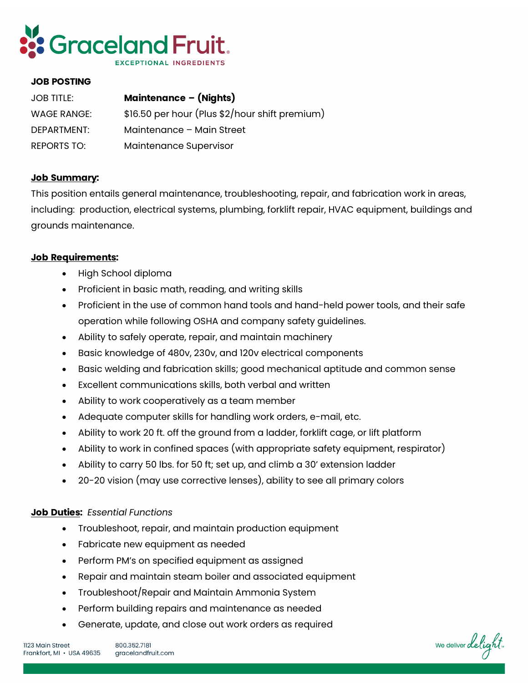

## **JOB POSTING**

| JOB TITLE:         | <b>Maintenance - (Nights)</b>                  |
|--------------------|------------------------------------------------|
| <b>WAGE RANGE:</b> | \$16.50 per hour (Plus \$2/hour shift premium) |
| DEPARTMENT:        | Maintenance - Main Street                      |
| REPORTS TO:        | Maintenance Supervisor                         |

## **Job Summary:**

This position entails general maintenance, troubleshooting, repair, and fabrication work in areas, including: production, electrical systems, plumbing, forklift repair, HVAC equipment, buildings and grounds maintenance.

## **Job Requirements:**

- High School diploma
- Proficient in basic math, reading, and writing skills
- Proficient in the use of common hand tools and hand-held power tools, and their safe operation while following OSHA and company safety guidelines.
- Ability to safely operate, repair, and maintain machinery
- Basic knowledge of 480v, 230v, and 120v electrical components
- Basic welding and fabrication skills; good mechanical aptitude and common sense
- Excellent communications skills, both verbal and written
- Ability to work cooperatively as a team member
- Adequate computer skills for handling work orders, e-mail, etc.
- Ability to work 20 ft. off the ground from a ladder, forklift cage, or lift platform
- Ability to work in confined spaces (with appropriate safety equipment, respirator)
- Ability to carry 50 lbs. for 50 ft; set up, and climb a 30' extension ladder
- 20-20 vision (may use corrective lenses), ability to see all primary colors

## **Job Duties:** *Essential Functions*

- Troubleshoot, repair, and maintain production equipment
- Fabricate new equipment as needed
- Perform PM's on specified equipment as assigned
- Repair and maintain steam boiler and associated equipment
- Troubleshoot/Repair and Maintain Ammonia System
- Perform building repairs and maintenance as needed
- Generate, update, and close out work orders as required